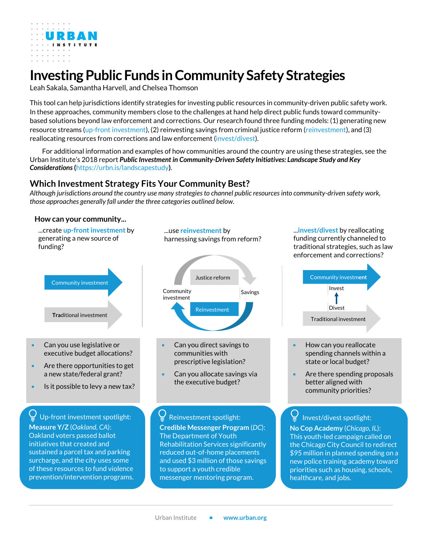

# **Investing Public Funds inCommunity Safety Strategies**

Leah Sakala, Samantha Harvell, and Chelsea Thomson

This tool can help jurisdictions identify strategies for investing public resources in community-driven public safety work. In these approaches, community members close to the challenges at hand help direct public funds toward communitybased solutions beyond law enforcement and corrections. Our research found three funding models: (1) generating new resource streams (up-front investment), (2) reinvesting savings from criminal justice reform (reinvestment), and (3) reallocating resources from corrections and law enforcement (invest/divest).

For additional information and examples of how communities around the country are using these strategies, see the Urban Institute's 2018 report *[Public Investment in Community-Driven Safety Initiatives: Landscape Study and Key](https://www.urban.org/research/publication/public-investment-community-driven-safety-initiatives)  [Considerations](https://www.urban.org/research/publication/public-investment-community-driven-safety-initiatives)* **(**<https://urbn.is/landscapestudy>**)**.

## **Which Investment Strategy Fits Your Community Best?**

*Although jurisdictions around the country use many strategies to channel public resources into community-driven safety work, those approaches generally fall under the three categories outlined below.*

#### **Tra**ditional investment Community investment Reinvestment Justice reform Community Savings investment <sup>◼</sup> Can you use legislative or executive budget allocations? ■ Are there opportunities to get a new state/federal grant? Is it possible to levy a new tax? Can you direct savings to communities with prescriptive legislation? Can you allocate savings via the executive budget? **How can your community...** ...create **up-front investment** by generating a new source of funding? ...use **reinvestment** by harnessing savings from reform? Reinvestment spotlight: **Credible Messenger Program** (*DC*): The Department of Youth Rehabilitation Services significantly reduced out-of-home placements and used \$3 million of those savings to support a youth credible messenger mentoring program. Up-front investment spotlight: **Measure Y/Z** (*Oakland, CA*): Oakland voters passed ballot initiatives that created and sustained a parcel tax and parking surcharge, and the city uses some of these resources to fund violence prevention/intervention programs.

...**invest/divest** by reallocating funding currently channeled to traditional strategies, such as law enforcement and corrections?



- How can you reallocate spending channels within a state or local budget?
- Are there spending proposals better aligned with community priorities?

Invest/divest spotlight:

**No Cop Academy** (*Chicago, IL*): This youth-led campaign called on the Chicago City Council to redirect \$95 million in planned spending on a new police training academy toward priorities such as housing, schools, healthcare, and jobs.